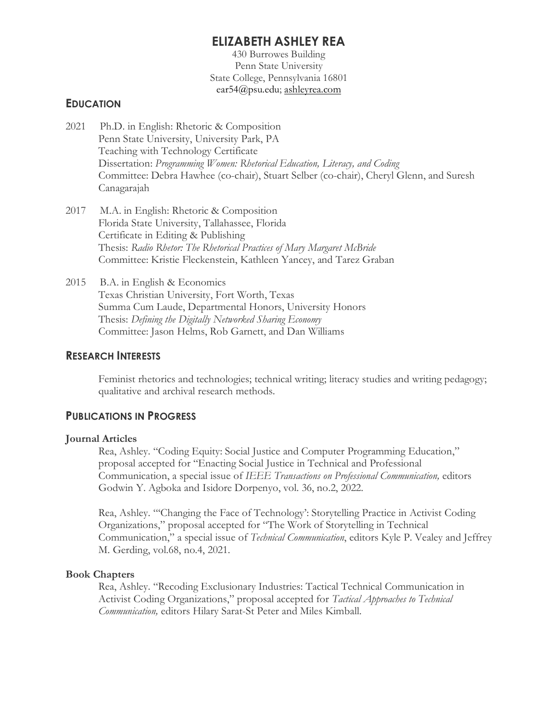# **ELIZABETH ASHLEY REA**

430 Burrowes Building Penn State University State College, Pennsylvania 16801 ear54@psu.edu; ashleyrea.com

### **EDUCATION**

- 2021 Ph.D. in English: Rhetoric & Composition Penn State University, University Park, PA Teaching with Technology Certificate Dissertation: *Programming Women: Rhetorical Education, Literacy, and Coding* Committee: Debra Hawhee (co-chair), Stuart Selber (co-chair), Cheryl Glenn, and Suresh Canagarajah
- 2017 M.A. in English: Rhetoric & Composition Florida State University, Tallahassee, Florida Certificate in Editing & Publishing Thesis: *Radio Rhetor: The Rhetorical Practices of Mary Margaret McBride* Committee: Kristie Fleckenstein, Kathleen Yancey, and Tarez Graban
- 2015 B.A. in English & Economics Texas Christian University, Fort Worth, Texas Summa Cum Laude, Departmental Honors, University Honors Thesis: *Defining the Digitally Networked Sharing Economy* Committee: Jason Helms, Rob Garnett, and Dan Williams

### **RESEARCH INTERESTS**

Feminist rhetorics and technologies; technical writing; literacy studies and writing pedagogy; qualitative and archival research methods.

### **PUBLICATIONS IN PROGRESS**

#### **Journal Articles**

Rea, Ashley. "Coding Equity: Social Justice and Computer Programming Education," proposal accepted for "Enacting Social Justice in Technical and Professional Communication, a special issue of *IEEE Transactions on Professional Communication,* editors Godwin Y. Agboka and Isidore Dorpenyo, vol. 36, no.2, 2022.

Rea, Ashley. "'Changing the Face of Technology': Storytelling Practice in Activist Coding Organizations," proposal accepted for "The Work of Storytelling in Technical Communication," a special issue of *Technical Communication*, editors Kyle P. Vealey and Jeffrey M. Gerding, vol.68, no.4, 2021.

#### **Book Chapters**

Rea, Ashley. "Recoding Exclusionary Industries: Tactical Technical Communication in Activist Coding Organizations," proposal accepted for *Tactical Approaches to Technical Communication,* editors Hilary Sarat-St Peter and Miles Kimball.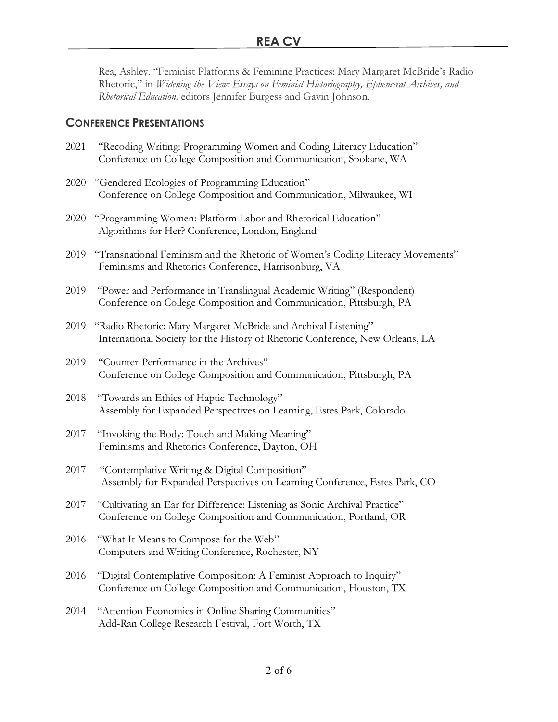Rea, Ashley. "Feminist Platforms & Feminine Practices: Mary Margaret McBride's Radio Rhetoric," in *Widening the View: Essays on Feminist Historiography, Ephemeral Archives, and Rhetorical Education,* editors Jennifer Burgess and Gavin Johnson.

## **CONFERENCE PRESENTATIONS**

| 2021 | "Recoding Writing: Programming Women and Coding Literacy Education"<br>Conference on College Composition and Communication, Spokane, WA         |
|------|-------------------------------------------------------------------------------------------------------------------------------------------------|
|      | 2020 "Gendered Ecologies of Programming Education"<br>Conference on College Composition and Communication, Milwaukee, WI                        |
| 2020 | "Programming Women: Platform Labor and Rhetorical Education"<br>Algorithms for Her? Conference, London, England                                 |
| 2019 | "Transnational Feminism and the Rhetoric of Women's Coding Literacy Movements"<br>Feminisms and Rhetorics Conference, Harrisonburg, VA          |
| 2019 | "Power and Performance in Translingual Academic Writing" (Respondent)<br>Conference on College Composition and Communication, Pittsburgh, PA    |
| 2019 | "Radio Rhetoric: Mary Margaret McBride and Archival Listening"<br>International Society for the History of Rhetoric Conference, New Orleans, LA |
| 2019 | "Counter-Performance in the Archives"<br>Conference on College Composition and Communication, Pittsburgh, PA                                    |
| 2018 | "Towards an Ethics of Haptic Technology"<br>Assembly for Expanded Perspectives on Learning, Estes Park, Colorado                                |
| 2017 | "Invoking the Body: Touch and Making Meaning"<br>Feminisms and Rhetorics Conference, Dayton, OH                                                 |
| 2017 | "Contemplative Writing & Digital Composition"<br>Assembly for Expanded Perspectives on Learning Conference, Estes Park, CO                      |
| 2017 | "Cultivating an Ear for Difference: Listening as Sonic Archival Practice"<br>Conference on College Composition and Communication, Portland, OR  |
| 2016 | "What It Means to Compose for the Web"<br>Computers and Writing Conference, Rochester, NY                                                       |
| 2016 | "Digital Contemplative Composition: A Feminist Approach to Inquiry"<br>Conference on College Composition and Communication, Houston, TX         |
| 2014 | "Attention Economics in Online Sharing Communities"<br>Add-Ran College Research Festival, Fort Worth, TX                                        |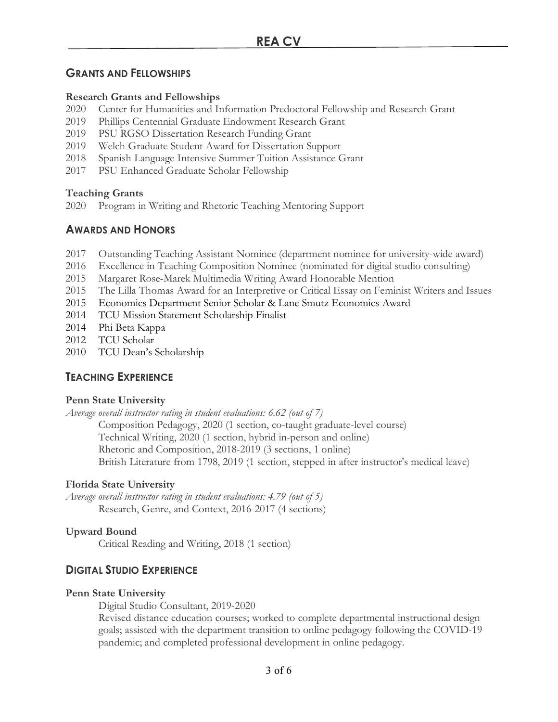# **GRANTS AND FELLOWSHIPS**

## **Research Grants and Fellowships**

- 2020 Center for Humanities and Information Predoctoral Fellowship and Research Grant
- 2019 Phillips Centennial Graduate Endowment Research Grant
- 2019 PSU RGSO Dissertation Research Funding Grant
- 2019 Welch Graduate Student Award for Dissertation Support
- 2018 Spanish Language Intensive Summer Tuition Assistance Grant
- 2017 PSU Enhanced Graduate Scholar Fellowship

## **Teaching Grants**

2020 Program in Writing and Rhetoric Teaching Mentoring Support

# **AWARDS AND HONORS**

- 2017 Outstanding Teaching Assistant Nominee (department nominee for university-wide award)
- 2016 Excellence in Teaching Composition Nominee (nominated for digital studio consulting)
- 2015 Margaret Rose-Marek Multimedia Writing Award Honorable Mention
- 2015 The Lilla Thomas Award for an Interpretive or Critical Essay on Feminist Writers and Issues
- 2015 Economics Department Senior Scholar & Lane Smutz Economics Award
- 2014 TCU Mission Statement Scholarship Finalist
- 2014 Phi Beta Kappa
- 2012 TCU Scholar
- 2010 TCU Dean's Scholarship

# **TEACHING EXPERIENCE**

## **Penn State University**

*Average overall instructor rating in student evaluations: 6.62 (out of 7)*

Composition Pedagogy, 2020 (1 section, co-taught graduate-level course) Technical Writing, 2020 (1 section, hybrid in-person and online) Rhetoric and Composition, 2018-2019 (3 sections, 1 online) British Literature from 1798, 2019 (1 section, stepped in after instructor's medical leave)

## **Florida State University**

*Average overall instructor rating in student evaluations: 4.79 (out of 5)* Research, Genre, and Context, 2016-2017 (4 sections)

## **Upward Bound**

Critical Reading and Writing, 2018 (1 section)

# **DIGITAL STUDIO EXPERIENCE**

### **Penn State University**

Digital Studio Consultant, 2019-2020

Revised distance education courses; worked to complete departmental instructional design goals; assisted with the department transition to online pedagogy following the COVID-19 pandemic; and completed professional development in online pedagogy.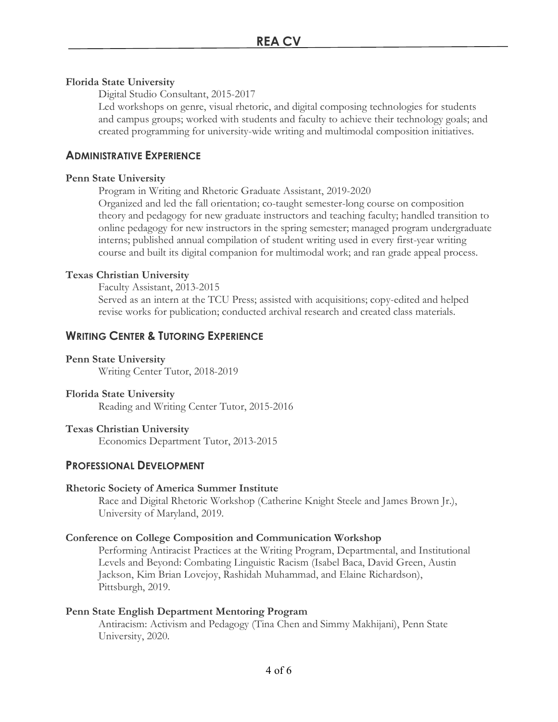### **Florida State University**

Digital Studio Consultant, 2015-2017

Led workshops on genre, visual rhetoric, and digital composing technologies for students and campus groups; worked with students and faculty to achieve their technology goals; and created programming for university-wide writing and multimodal composition initiatives.

## **ADMINISTRATIVE EXPERIENCE**

### **Penn State University**

Program in Writing and Rhetoric Graduate Assistant, 2019-2020 Organized and led the fall orientation; co-taught semester-long course on composition theory and pedagogy for new graduate instructors and teaching faculty; handled transition to online pedagogy for new instructors in the spring semester; managed program undergraduate interns; published annual compilation of student writing used in every first-year writing course and built its digital companion for multimodal work; and ran grade appeal process.

### **Texas Christian University**

Faculty Assistant, 2013-2015

Served as an intern at the TCU Press; assisted with acquisitions; copy-edited and helped revise works for publication; conducted archival research and created class materials.

## **WRITING CENTER & TUTORING EXPERIENCE**

#### **Penn State University**

Writing Center Tutor, 2018-2019

### **Florida State University**

Reading and Writing Center Tutor, 2015-2016

### **Texas Christian University**

Economics Department Tutor, 2013-2015

## **PROFESSIONAL DEVELOPMENT**

### **Rhetoric Society of America Summer Institute**

Race and Digital Rhetoric Workshop (Catherine Knight Steele and James Brown Jr.), University of Maryland, 2019.

### **Conference on College Composition and Communication Workshop**

Performing Antiracist Practices at the Writing Program, Departmental, and Institutional Levels and Beyond: Combating Linguistic Racism (Isabel Baca, David Green, Austin Jackson, Kim Brian Lovejoy, Rashidah Muhammad, and Elaine Richardson), Pittsburgh, 2019.

### **Penn State English Department Mentoring Program**

Antiracism: Activism and Pedagogy (Tina Chen and Simmy Makhijani), Penn State University, 2020.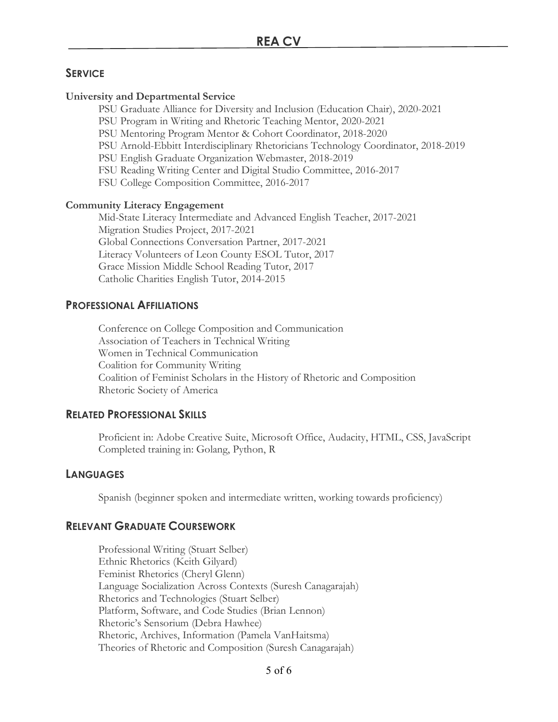## **SERVICE**

#### **University and Departmental Service**

PSU Graduate Alliance for Diversity and Inclusion (Education Chair), 2020-2021

PSU Program in Writing and Rhetoric Teaching Mentor, 2020-2021

PSU Mentoring Program Mentor & Cohort Coordinator, 2018-2020

PSU Arnold-Ebbitt Interdisciplinary Rhetoricians Technology Coordinator, 2018-2019

PSU English Graduate Organization Webmaster, 2018-2019

FSU Reading Writing Center and Digital Studio Committee, 2016-2017

FSU College Composition Committee, 2016-2017

### **Community Literacy Engagement**

Mid-State Literacy Intermediate and Advanced English Teacher, 2017-2021 Migration Studies Project, 2017-2021 Global Connections Conversation Partner, 2017-2021 Literacy Volunteers of Leon County ESOL Tutor, 2017 Grace Mission Middle School Reading Tutor, 2017 Catholic Charities English Tutor, 2014-2015

## **PROFESSIONAL AFFILIATIONS**

Conference on College Composition and Communication Association of Teachers in Technical Writing Women in Technical Communication Coalition for Community Writing Coalition of Feminist Scholars in the History of Rhetoric and Composition Rhetoric Society of America

### **RELATED PROFESSIONAL SKILLS**

Proficient in: Adobe Creative Suite, Microsoft Office, Audacity, HTML, CSS, JavaScript Completed training in: Golang, Python, R

### **LANGUAGES**

Spanish (beginner spoken and intermediate written, working towards proficiency)

### **RELEVANT GRADUATE COURSEWORK**

Professional Writing (Stuart Selber) Ethnic Rhetorics (Keith Gilyard) Feminist Rhetorics (Cheryl Glenn) Language Socialization Across Contexts (Suresh Canagarajah) Rhetorics and Technologies (Stuart Selber) Platform, Software, and Code Studies (Brian Lennon) Rhetoric's Sensorium (Debra Hawhee) Rhetoric, Archives, Information (Pamela VanHaitsma) Theories of Rhetoric and Composition (Suresh Canagarajah)